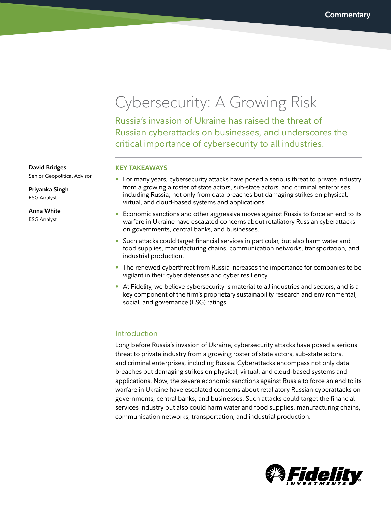# Cybersecurity: A Growing Risk

Russia's invasion of Ukraine has raised the threat of Russian cyberattacks on businesses, and underscores the critical importance of cybersecurity to all industries.

### **KEY TAKEAWAYS**

- For many years, cybersecurity attacks have posed a serious threat to private industry from a growing a roster of state actors, sub-state actors, and criminal enterprises, including Russia; not only from data breaches but damaging strikes on physical, virtual, and cloud-based systems and applications.
- Economic sanctions and other aggressive moves against Russia to force an end to its warfare in Ukraine have escalated concerns about retaliatory Russian cyberattacks on governments, central banks, and businesses.
- Such attacks could target financial services in particular, but also harm water and food supplies, manufacturing chains, communication networks, transportation, and industrial production.
- The renewed cyberthreat from Russia increases the importance for companies to be vigilant in their cyber defenses and cyber resiliency.
- At Fidelity, we believe cybersecurity is material to all industries and sectors, and is a key component of the firm's proprietary sustainability research and environmental, social, and governance (ESG) ratings.

### Introduction

Long before Russia's invasion of Ukraine, cybersecurity attacks have posed a serious threat to private industry from a growing roster of state actors, sub-state actors, and criminal enterprises, including Russia. Cyberattacks encompass not only data breaches but damaging strikes on physical, virtual, and cloud-based systems and applications. Now, the severe economic sanctions against Russia to force an end to its warfare in Ukraine have escalated concerns about retaliatory Russian cyberattacks on governments, central banks, and businesses. Such attacks could target the financial services industry but also could harm water and food supplies, manufacturing chains, communication networks, transportation, and industrial production.



**David Bridges**

Senior Geopolitical Advisor

**Priyanka Singh** ESG Analyst

**Anna White** 

ESG Analyst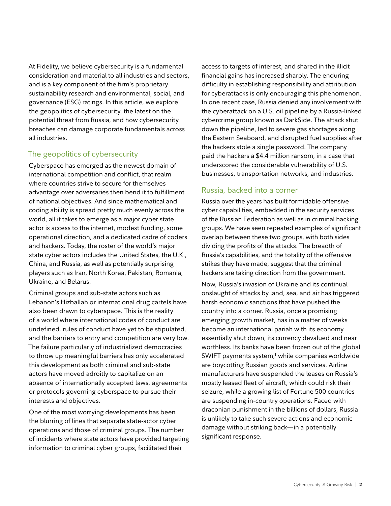At Fidelity, we believe cybersecurity is a fundamental consideration and material to all industries and sectors, and is a key component of the firm's proprietary sustainability research and environmental, social, and governance (ESG) ratings. In this article, we explore the geopolitics of cybersecurity, the latest on the potential threat from Russia, and how cybersecurity breaches can damage corporate fundamentals across all industries.

# The geopolitics of cybersecurity

Cyberspace has emerged as the newest domain of international competition and conflict, that realm where countries strive to secure for themselves advantage over adversaries then bend it to fulfillment of national objectives. And since mathematical and coding ability is spread pretty much evenly across the world, all it takes to emerge as a major cyber state actor is access to the internet, modest funding, some operational direction, and a dedicated cadre of coders and hackers. Today, the roster of the world's major state cyber actors includes the United States, the U.K., China, and Russia, as well as potentially surprising players such as Iran, North Korea, Pakistan, Romania, Ukraine, and Belarus.

Criminal groups and sub-state actors such as Lebanon's Hizballah or international drug cartels have also been drawn to cyberspace. This is the reality of a world where international codes of conduct are undefined, rules of conduct have yet to be stipulated, and the barriers to entry and competition are very low. The failure particularly of industrialized democracies to throw up meaningful barriers has only accelerated this development as both criminal and sub-state actors have moved adroitly to capitalize on an absence of internationally accepted laws, agreements or protocols governing cyberspace to pursue their interests and objectives.

One of the most worrying developments has been the blurring of lines that separate state-actor cyber operations and those of criminal groups. The number of incidents where state actors have provided targeting information to criminal cyber groups, facilitated their

access to targets of interest, and shared in the illicit financial gains has increased sharply. The enduring difficulty in establishing responsibility and attribution for cyberattacks is only encouraging this phenomenon. In one recent case, Russia denied any involvement with the cyberattack on a U.S. oil pipeline by a Russia-linked cybercrime group known as DarkSide. The attack shut down the pipeline, led to severe gas shortages along the Eastern Seaboard, and disrupted fuel supplies after the hackers stole a single password. The company paid the hackers a \$4.4 million ransom, in a case that underscored the considerable vulnerability of U.S. businesses, transportation networks, and industries.

# Russia, backed into a corner

Russia over the years has built formidable offensive cyber capabilities, embedded in the security services of the Russian Federation as well as in criminal hacking groups. We have seen repeated examples of significant overlap between these two groups, with both sides dividing the profits of the attacks. The breadth of Russia's capabilities, and the totality of the offensive strikes they have made, suggest that the criminal hackers are taking direction from the government.

Now, Russia's invasion of Ukraine and its continual onslaught of attacks by land, sea, and air has triggered harsh economic sanctions that have pushed the country into a corner. Russia, once a promising emerging growth market, has in a matter of weeks become an international pariah with its economy essentially shut down, its currency devalued and near worthless. Its banks have been frozen out of the global SWIFT payments system,<sup>1</sup> while companies worldwide are boycotting Russian goods and services. Airline manufacturers have suspended the leases on Russia's mostly leased fleet of aircraft, which could risk their seizure, while a growing list of Fortune 500 countries are suspending in-country operations. Faced with draconian punishment in the billions of dollars, Russia is unlikely to take such severe actions and economic damage without striking back—in a potentially significant response.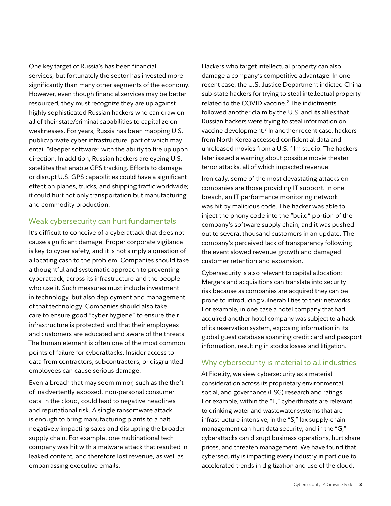One key target of Russia's has been financial services, but fortunately the sector has invested more significantly than many other segments of the economy. However, even though financial services may be better resourced, they must recognize they are up against highly sophisticated Russian hackers who can draw on all of their state/criminal capabilities to capitalize on weaknesses. For years, Russia has been mapping U.S. public/private cyber infrastructure, part of which may entail "sleeper software" with the ability to fire up upon direction. In addition, Russian hackers are eyeing U.S. satellites that enable GPS tracking. Efforts to damage or disrupt U.S. GPS capabilities could have a significant effect on planes, trucks, and shipping traffic worldwide; it could hurt not only transportation but manufacturing and commodity production.

# Weak cybersecurity can hurt fundamentals

It's difficult to conceive of a cyberattack that does not cause significant damage. Proper corporate vigilance is key to cyber safety, and it is not simply a question of allocating cash to the problem. Companies should take a thoughtful and systematic approach to preventing cyberattack, across its infrastructure and the people who use it. Such measures must include investment in technology, but also deployment and management of that technology. Companies should also take care to ensure good "cyber hygiene" to ensure their infrastructure is protected and that their employees and customers are educated and aware of the threats. The human element is often one of the most common points of failure for cyberattacks. Insider access to data from contractors, subcontractors, or disgruntled employees can cause serious damage.

Even a breach that may seem minor, such as the theft of inadvertently exposed, non-personal consumer data in the cloud, could lead to negative headlines and reputational risk. A single ransomware attack is enough to bring manufacturing plants to a halt, negatively impacting sales and disrupting the broader supply chain. For example, one multinational tech company was hit with a malware attack that resulted in leaked content, and therefore lost revenue, as well as embarrassing executive emails.

Hackers who target intellectual property can also damage a company's competitive advantage. In one recent case, the U.S. Justice Department indicted China sub-state hackers for trying to steal intellectual property related to the COVID vaccine.<sup>2</sup> The indictments followed another claim by the U.S. and its allies that Russian hackers were trying to steal information on vaccine development.<sup>3</sup> In another recent case, hackers from North Korea accessed confidential data and unreleased movies from a U.S. film studio. The hackers later issued a warning about possible movie theater terror attacks, all of which impacted revenue.

Ironically, some of the most devastating attacks on companies are those providing IT support. In one breach, an IT performance monitoring network was hit by malicious code. The hacker was able to inject the phony code into the "build" portion of the company's software supply chain, and it was pushed out to several thousand customers in an update. The company's perceived lack of transparency following the event slowed revenue growth and damaged customer retention and expansion.

Cybersecurity is also relevant to capital allocation: Mergers and acquisitions can translate into security risk because as companies are acquired they can be prone to introducing vulnerabilities to their networks. For example, in one case a hotel company that had acquired another hotel company was subject to a hack of its reservation system, exposing information in its global guest database spanning credit card and passport information, resulting in stocks losses and litigation.

### Why cybersecurity is material to all industries

At Fidelity, we view cybersecurity as a material consideration across its proprietary environmental, social, and governance (ESG) research and ratings. For example, within the "E," cyberthreats are relevant to drinking water and wastewater systems that are infrastructure-intensive; in the "S," lax supply-chain management can hurt data security; and in the "G," cyberattacks can disrupt business operations, hurt share prices, and threaten management. We have found that cybersecurity is impacting every industry in part due to accelerated trends in digitization and use of the cloud.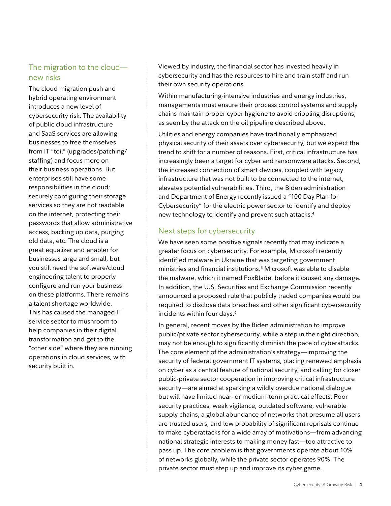# The migration to the cloud new risks

The cloud migration push and hybrid operating environment introduces a new level of cybersecurity risk. The availability of public cloud infrastructure and SaaS services are allowing businesses to free themselves from IT "toil" (upgrades/patching/ staffing) and focus more on their business operations. But enterprises still have some responsibilities in the cloud; securely configuring their storage services so they are not readable on the internet, protecting their passwords that allow administrative access, backing up data, purging old data, etc. The cloud is a great equalizer and enabler for businesses large and small, but you still need the software/cloud engineering talent to properly configure and run your business on these platforms. There remains a talent shortage worldwide. This has caused the managed IT service sector to mushroom to help companies in their digital transformation and get to the "other side" where they are running operations in cloud services, with security built in.

Viewed by industry, the financial sector has invested heavily in cybersecurity and has the resources to hire and train staff and run their own security operations.

Within manufacturing-intensive industries and energy industries, managements must ensure their process control systems and supply chains maintain proper cyber hygiene to avoid crippling disruptions, as seen by the attack on the oil pipeline described above.

Utilities and energy companies have traditionally emphasized physical security of their assets over cybersecurity, but we expect the trend to shift for a number of reasons. First, critical infrastructure has increasingly been a target for cyber and ransomware attacks. Second, the increased connection of smart devices, coupled with legacy infrastructure that was not built to be connected to the internet, elevates potential vulnerabilities. Third, the Biden administration and Department of Energy recently issued a "100 Day Plan for Cybersecurity" for the electric power sector to identify and deploy new technology to identify and prevent such attacks. $^4$ 

# Next steps for cybersecurity

We have seen some positive signals recently that may indicate a greater focus on cybersecurity. For example, Microsoft recently identified malware in Ukraine that was targeting government ministries and financial institutions.5 Microsoft was able to disable the malware, which it named FoxBlade, before it caused any damage. In addition, the U.S. Securities and Exchange Commission recently announced a proposed rule that publicly traded companies would be required to disclose data breaches and other significant cybersecurity incidents within four days.<sup>6</sup>

In general, recent moves by the Biden administration to improve public/private sector cybersecurity, while a step in the right direction, may not be enough to significantly diminish the pace of cyberattacks. The core element of the administration's strategy—improving the security of federal government IT systems, placing renewed emphasis on cyber as a central feature of national security, and calling for closer public-private sector cooperation in improving critical infrastructure security—are aimed at sparking a wildly overdue national dialogue but will have limited near- or medium-term practical effects. Poor security practices, weak vigilance, outdated software, vulnerable supply chains, a global abundance of networks that presume all users are trusted users, and low probability of significant reprisals continue to make cyberattacks for a wide array of motivations—from advancing national strategic interests to making money fast—too attractive to pass up. The core problem is that governments operate about 10% of networks globally, while the private sector operates 90%. The private sector must step up and improve its cyber game.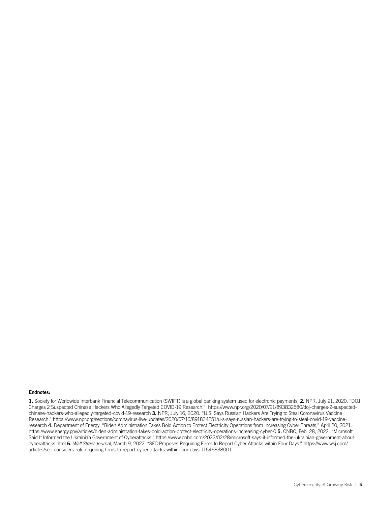#### Endnotes:

1. Society for Worldwide Interbank Financial Telecommunication (SWIFT) is a global banking system used for electronic payments. 2. NPR, July 21, 2020. "DOJ Charges 2 Suspected Chinese Hackers Who Allegedly Targeted COVID-19 Research." https://www.npr.org/2020/07/21/893832580/doj-charges-2-suspectedchinese-hackers-who-allegedly-targeted-covid-19-research 3. NPR, July 16, 2020. "U.S. Says Russian Hackers Are Trying to Steal Coronavirus Vaccine Research." https://www.npr.org/sections/coronavirus-live-updates/2020/07/16/891834251/u-s-says-russian-hackers-are-trying-to-steal-covid-19-vaccineresearch 4. Department of Energy, "Biden Administration Takes Bold Action to Protect Electricity Operations from Increasing Cyber Threats," April 20, 2021. https://www.energy.gov/articles/biden-administration-takes-bold-action-protect-electricity-operations-increasing-cyber-0 5. CNBC, Feb. 28, 2022. "Microsoft Said It Informed the Ukrainian Government of Cyberattacks." https://www.cnbc.com/2022/02/28/microsoft-says-it-informed-the-ukrainian-government-aboutcyberattacks.html 6. *Wall Street Journal*, March 9, 2022. "SEC Proposes Requiring Firms to Report Cyber Attacks within Four Days." https://www.wsj.com/ articles/sec-considers-rule-requiring-firms-to-report-cyber-attacks-within-four-days-11646838001